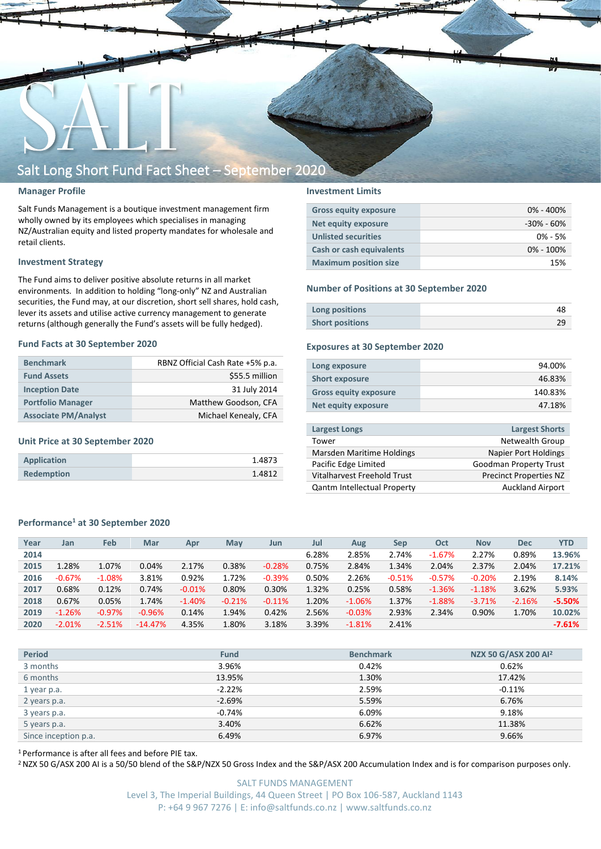

#### **Manager Profile**

Salt Funds Management is a boutique investment management firm wholly owned by its employees which specialises in managing NZ/Australian equity and listed property mandates for wholesale and retail clients.

#### **Investment Strategy**

The Fund aims to deliver positive absolute returns in all market environments. In addition to holding "long-only" NZ and Australian securities, the Fund may, at our discretion, short sell shares, hold cash, lever its assets and utilise active currency management to generate returns (although generally the Fund's assets will be fully hedged).

#### **Fund Facts at 30 September 2020**

| <b>Benchmark</b>            | RBNZ Official Cash Rate +5% p.a. |
|-----------------------------|----------------------------------|
| <b>Fund Assets</b>          | \$55.5 million                   |
| <b>Inception Date</b>       | 31 July 2014                     |
| <b>Portfolio Manager</b>    | Matthew Goodson, CFA             |
| <b>Associate PM/Analyst</b> | Michael Kenealy, CFA             |

#### **Unit Price at 30 September 2020**

| Application       | 1.4873 |
|-------------------|--------|
| <b>Redemption</b> | 1.4812 |

#### **Investment Limits**

| <b>Gross equity exposure</b> | $0\% - 400\%$  |
|------------------------------|----------------|
| <b>Net equity exposure</b>   | $-30\% - 60\%$ |
| <b>Unlisted securities</b>   | $0\% - 5\%$    |
| Cash or cash equivalents     | $0\% - 100\%$  |
| <b>Maximum position size</b> | 15%            |

#### **Number of Positions at 30 September 2020**

| Long positions         |  |
|------------------------|--|
| <b>Short positions</b> |  |

#### **Exposures at 30 September 2020**

| Long exposure                | 94.00%  |
|------------------------------|---------|
| <b>Short exposure</b>        | 46.83%  |
| <b>Gross equity exposure</b> | 140.83% |
| Net equity exposure          | 47.18%  |
|                              |         |

| <b>Largest Longs</b>               | <b>Largest Shorts</b>         |
|------------------------------------|-------------------------------|
| Tower                              | Netwealth Group               |
| Marsden Maritime Holdings          | <b>Napier Port Holdings</b>   |
| Pacific Edge Limited               | <b>Goodman Property Trust</b> |
| Vitalharvest Freehold Trust        | <b>Precinct Properties NZ</b> |
| <b>Qantm Intellectual Property</b> | <b>Auckland Airport</b>       |
|                                    |                               |

#### **Performance<sup>1</sup> at 30 September 2020**

| Year | Jan      | <b>Feb</b> | Mar       | Apr      | May      | Jun      | Jul   | Aug      | Sep      | Oct      | <b>Nov</b> | <b>Dec</b> | <b>YTD</b> |
|------|----------|------------|-----------|----------|----------|----------|-------|----------|----------|----------|------------|------------|------------|
| 2014 |          |            |           |          |          |          | 6.28% | 2.85%    | 2.74%    | $-1.67%$ | 2.27%      | 0.89%      | 13.96%     |
| 2015 | 1.28%    | 1.07%      | 0.04%     | 2.17%    | 0.38%    | $-0.28%$ | 0.75% | 2.84%    | 1.34%    | 2.04%    | 2.37%      | 2.04%      | 17.21%     |
| 2016 | $-0.67%$ | $-1.08%$   | 3.81%     | 0.92%    | 1.72%    | $-0.39%$ | 0.50% | 2.26%    | $-0.51%$ | $-0.57%$ | $-0.20%$   | 2.19%      | 8.14%      |
| 2017 | 0.68%    | 0.12%      | 0.74%     | $-0.01%$ | 0.80%    | 0.30%    | 1.32% | 0.25%    | 0.58%    | $-1.36%$ | $-1.18%$   | 3.62%      | 5.93%      |
| 2018 | 0.67%    | 0.05%      | 1.74%     | $-1.40%$ | $-0.21%$ | $-0.11%$ | 1.20% | $-1.06%$ | 1.37%    | $-1.88%$ | $-3.71%$   | $-2.16%$   | $-5.50%$   |
| 2019 | $-1.26%$ | $-0.97%$   | $-0.96%$  | 0.14%    | 1.94%    | 0.42%    | 2.56% | $-0.03%$ | 2.93%    | 2.34%    | 0.90%      | 1.70%      | 10.02%     |
| 2020 | $-2.01%$ | $-2.51%$   | $-14.47%$ | 4.35%    | 1.80%    | 3.18%    | 3.39% | $-1.81%$ | 2.41%    |          |            |            | $-7.61%$   |
|      |          |            |           |          |          |          |       |          |          |          |            |            |            |

| <b>Period</b>        | <b>Fund</b> | <b>Benchmark</b> | NZX 50 G/ASX 200 Al <sup>2</sup> |
|----------------------|-------------|------------------|----------------------------------|
| 3 months             | 3.96%       | 0.42%            | 0.62%                            |
| 6 months             | 13.95%      | 1.30%            | 17.42%                           |
| 1 year p.a.          | $-2.22%$    | 2.59%            | $-0.11\%$                        |
| 2 years p.a.         | $-2.69%$    | 5.59%            | 6.76%                            |
| 3 years p.a.         | $-0.74%$    | 6.09%            | 9.18%                            |
| 5 years p.a.         | 3.40%       | 6.62%            | 11.38%                           |
| Since inception p.a. | 6.49%       | 6.97%            | 9.66%                            |

<sup>1</sup> Performance is after all fees and before PIE tax.

<sup>2</sup> NZX 50 G/ASX 200 AI is a 50/50 blend of the S&P/NZX 50 Gross Index and the S&P/ASX 200 Accumulation Index and is for comparison purposes only.

SALT FUNDS MANAGEMENT Level 3, The Imperial Buildings, 44 Queen Street | PO Box 106-587, Auckland 1143 P: +64 9 967 7276 | E: info@saltfunds.co.nz | www.saltfunds.co.nz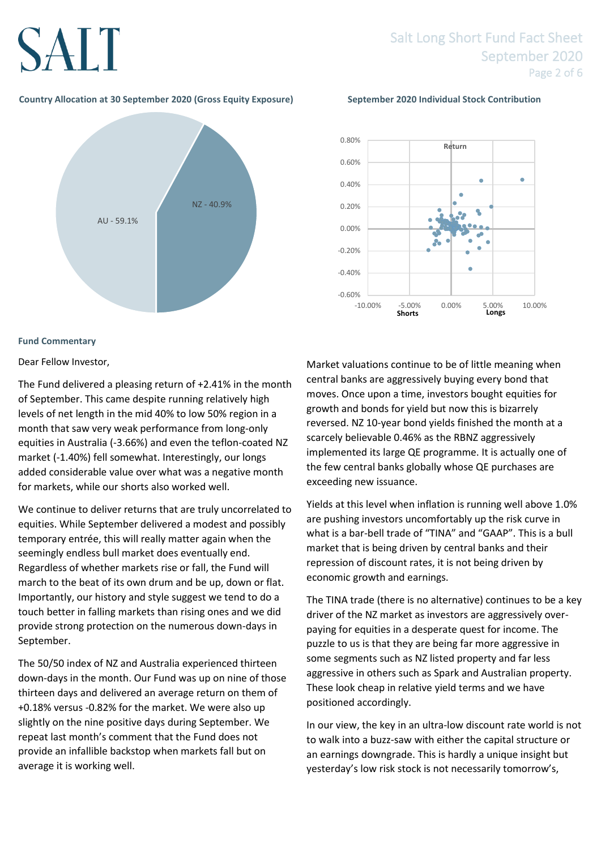### Salt Long Short Fund Fact Sheet September 2020 Page 2 of 6

### **Country Allocation at 30 September 2020 (Gross Equity Exposure) September 2020 Individual Stock Contribution**



#### **Fund Commentary**

Dear Fellow Investor,

The Fund delivered a pleasing return of +2.41% in the month of September. This came despite running relatively high levels of net length in the mid 40% to low 50% region in a month that saw very weak performance from long-only equities in Australia (-3.66%) and even the teflon-coated NZ market (-1.40%) fell somewhat. Interestingly, our longs added considerable value over what was a negative month for markets, while our shorts also worked well.

We continue to deliver returns that are truly uncorrelated to equities. While September delivered a modest and possibly temporary entrée, this will really matter again when the seemingly endless bull market does eventually end. Regardless of whether markets rise or fall, the Fund will march to the beat of its own drum and be up, down or flat. Importantly, our history and style suggest we tend to do a touch better in falling markets than rising ones and we did provide strong protection on the numerous down-days in September.

The 50/50 index of NZ and Australia experienced thirteen down-days in the month. Our Fund was up on nine of those thirteen days and delivered an average return on them of +0.18% versus -0.82% for the market. We were also up slightly on the nine positive days during September. We repeat last month's comment that the Fund does not provide an infallible backstop when markets fall but on average it is working well.



Market valuations continue to be of little meaning when central banks are aggressively buying every bond that moves. Once upon a time, investors bought equities for growth and bonds for yield but now this is bizarrely reversed. NZ 10-year bond yields finished the month at a scarcely believable 0.46% as the RBNZ aggressively implemented its large QE programme. It is actually one of the few central banks globally whose QE purchases are exceeding new issuance.

Yields at this level when inflation is running well above 1.0% are pushing investors uncomfortably up the risk curve in what is a bar-bell trade of "TINA" and "GAAP". This is a bull market that is being driven by central banks and their repression of discount rates, it is not being driven by economic growth and earnings.

The TINA trade (there is no alternative) continues to be a key driver of the NZ market as investors are aggressively overpaying for equities in a desperate quest for income. The puzzle to us is that they are being far more aggressive in some segments such as NZ listed property and far less aggressive in others such as Spark and Australian property. These look cheap in relative yield terms and we have positioned accordingly.

In our view, the key in an ultra-low discount rate world is not to walk into a buzz-saw with either the capital structure or an earnings downgrade. This is hardly a unique insight but yesterday's low risk stock is not necessarily tomorrow's,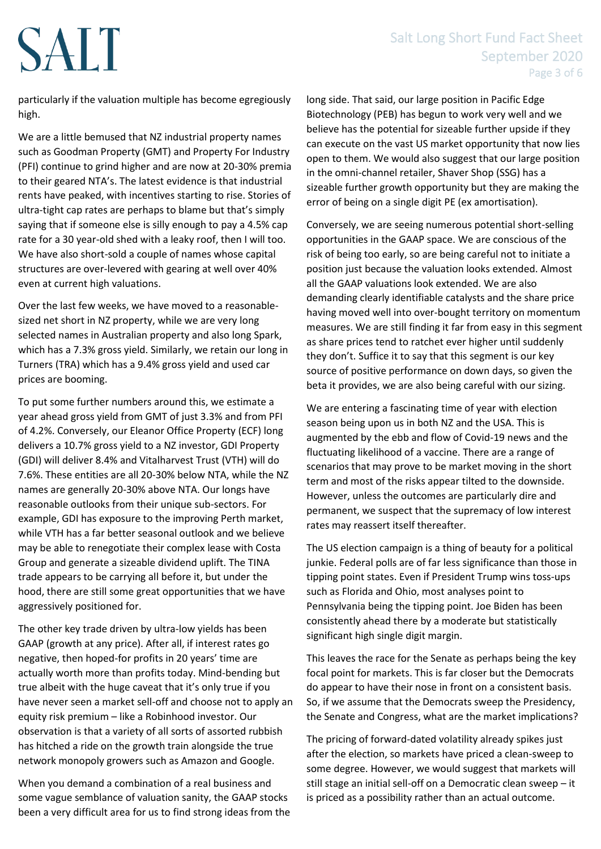## Salt Long Short Fund Fact Sheet September 2020 Page 3 of 6

particularly if the valuation multiple has become egregiously high.

We are a little bemused that NZ industrial property names such as Goodman Property (GMT) and Property For Industry (PFI) continue to grind higher and are now at 20-30% premia to their geared NTA's. The latest evidence is that industrial rents have peaked, with incentives starting to rise. Stories of ultra-tight cap rates are perhaps to blame but that's simply saying that if someone else is silly enough to pay a 4.5% cap rate for a 30 year-old shed with a leaky roof, then I will too. We have also short-sold a couple of names whose capital structures are over-levered with gearing at well over 40% even at current high valuations.

Over the last few weeks, we have moved to a reasonablesized net short in NZ property, while we are very long selected names in Australian property and also long Spark, which has a 7.3% gross yield. Similarly, we retain our long in Turners (TRA) which has a 9.4% gross yield and used car prices are booming.

To put some further numbers around this, we estimate a year ahead gross yield from GMT of just 3.3% and from PFI of 4.2%. Conversely, our Eleanor Office Property (ECF) long delivers a 10.7% gross yield to a NZ investor, GDI Property (GDI) will deliver 8.4% and Vitalharvest Trust (VTH) will do 7.6%. These entities are all 20-30% below NTA, while the NZ names are generally 20-30% above NTA. Our longs have reasonable outlooks from their unique sub-sectors. For example, GDI has exposure to the improving Perth market, while VTH has a far better seasonal outlook and we believe may be able to renegotiate their complex lease with Costa Group and generate a sizeable dividend uplift. The TINA trade appears to be carrying all before it, but under the hood, there are still some great opportunities that we have aggressively positioned for.

The other key trade driven by ultra-low yields has been GAAP (growth at any price). After all, if interest rates go negative, then hoped-for profits in 20 years' time are actually worth more than profits today. Mind-bending but true albeit with the huge caveat that it's only true if you have never seen a market sell-off and choose not to apply an equity risk premium – like a Robinhood investor. Our observation is that a variety of all sorts of assorted rubbish has hitched a ride on the growth train alongside the true network monopoly growers such as Amazon and Google.

When you demand a combination of a real business and some vague semblance of valuation sanity, the GAAP stocks been a very difficult area for us to find strong ideas from the long side. That said, our large position in Pacific Edge Biotechnology (PEB) has begun to work very well and we believe has the potential for sizeable further upside if they can execute on the vast US market opportunity that now lies open to them. We would also suggest that our large position in the omni-channel retailer, Shaver Shop (SSG) has a sizeable further growth opportunity but they are making the error of being on a single digit PE (ex amortisation).

Conversely, we are seeing numerous potential short-selling opportunities in the GAAP space. We are conscious of the risk of being too early, so are being careful not to initiate a position just because the valuation looks extended. Almost all the GAAP valuations look extended. We are also demanding clearly identifiable catalysts and the share price having moved well into over-bought territory on momentum measures. We are still finding it far from easy in this segment as share prices tend to ratchet ever higher until suddenly they don't. Suffice it to say that this segment is our key source of positive performance on down days, so given the beta it provides, we are also being careful with our sizing.

We are entering a fascinating time of year with election season being upon us in both NZ and the USA. This is augmented by the ebb and flow of Covid-19 news and the fluctuating likelihood of a vaccine. There are a range of scenarios that may prove to be market moving in the short term and most of the risks appear tilted to the downside. However, unless the outcomes are particularly dire and permanent, we suspect that the supremacy of low interest rates may reassert itself thereafter.

The US election campaign is a thing of beauty for a political junkie. Federal polls are of far less significance than those in tipping point states. Even if President Trump wins toss-ups such as Florida and Ohio, most analyses point to Pennsylvania being the tipping point. Joe Biden has been consistently ahead there by a moderate but statistically significant high single digit margin.

This leaves the race for the Senate as perhaps being the key focal point for markets. This is far closer but the Democrats do appear to have their nose in front on a consistent basis. So, if we assume that the Democrats sweep the Presidency, the Senate and Congress, what are the market implications?

The pricing of forward-dated volatility already spikes just after the election, so markets have priced a clean-sweep to some degree. However, we would suggest that markets will still stage an initial sell-off on a Democratic clean sweep – it is priced as a possibility rather than an actual outcome.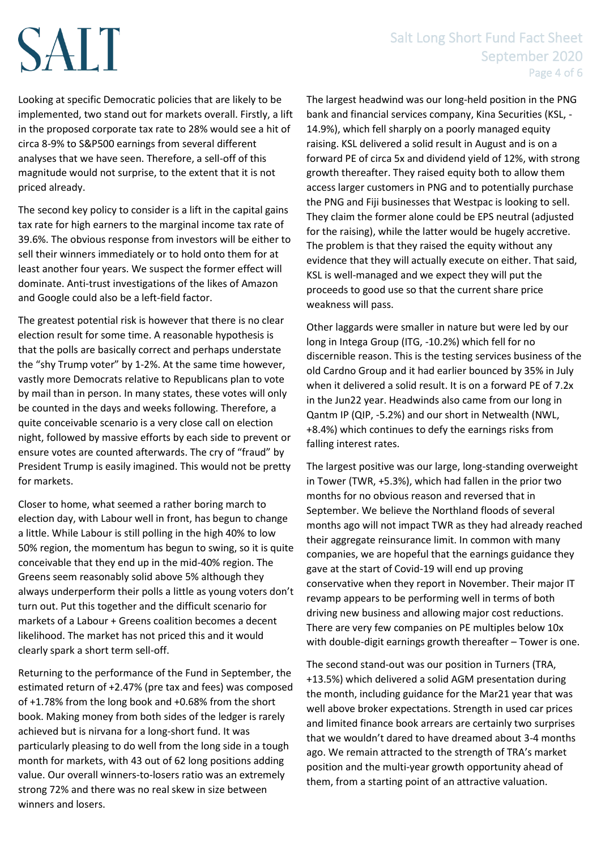### Salt Long Short Fund Fact Sheet September 2020 Page 4 of 6

Looking at specific Democratic policies that are likely to be implemented, two stand out for markets overall. Firstly, a lift in the proposed corporate tax rate to 28% would see a hit of circa 8-9% to S&P500 earnings from several different analyses that we have seen. Therefore, a sell-off of this magnitude would not surprise, to the extent that it is not priced already.

The second key policy to consider is a lift in the capital gains tax rate for high earners to the marginal income tax rate of 39.6%. The obvious response from investors will be either to sell their winners immediately or to hold onto them for at least another four years. We suspect the former effect will dominate. Anti-trust investigations of the likes of Amazon and Google could also be a left-field factor.

The greatest potential risk is however that there is no clear election result for some time. A reasonable hypothesis is that the polls are basically correct and perhaps understate the "shy Trump voter" by 1-2%. At the same time however, vastly more Democrats relative to Republicans plan to vote by mail than in person. In many states, these votes will only be counted in the days and weeks following. Therefore, a quite conceivable scenario is a very close call on election night, followed by massive efforts by each side to prevent or ensure votes are counted afterwards. The cry of "fraud" by President Trump is easily imagined. This would not be pretty for markets.

Closer to home, what seemed a rather boring march to election day, with Labour well in front, has begun to change a little. While Labour is still polling in the high 40% to low 50% region, the momentum has begun to swing, so it is quite conceivable that they end up in the mid-40% region. The Greens seem reasonably solid above 5% although they always underperform their polls a little as young voters don't turn out. Put this together and the difficult scenario for markets of a Labour + Greens coalition becomes a decent likelihood. The market has not priced this and it would clearly spark a short term sell-off.

Returning to the performance of the Fund in September, the estimated return of +2.47% (pre tax and fees) was composed of +1.78% from the long book and +0.68% from the short book. Making money from both sides of the ledger is rarely achieved but is nirvana for a long-short fund. It was particularly pleasing to do well from the long side in a tough month for markets, with 43 out of 62 long positions adding value. Our overall winners-to-losers ratio was an extremely strong 72% and there was no real skew in size between winners and losers.

The largest headwind was our long-held position in the PNG bank and financial services company, Kina Securities (KSL, - 14.9%), which fell sharply on a poorly managed equity raising. KSL delivered a solid result in August and is on a forward PE of circa 5x and dividend yield of 12%, with strong growth thereafter. They raised equity both to allow them access larger customers in PNG and to potentially purchase the PNG and Fiji businesses that Westpac is looking to sell. They claim the former alone could be EPS neutral (adjusted for the raising), while the latter would be hugely accretive. The problem is that they raised the equity without any evidence that they will actually execute on either. That said, KSL is well-managed and we expect they will put the proceeds to good use so that the current share price weakness will pass.

Other laggards were smaller in nature but were led by our long in Intega Group (ITG, -10.2%) which fell for no discernible reason. This is the testing services business of the old Cardno Group and it had earlier bounced by 35% in July when it delivered a solid result. It is on a forward PE of 7.2x in the Jun22 year. Headwinds also came from our long in Qantm IP (QIP, -5.2%) and our short in Netwealth (NWL, +8.4%) which continues to defy the earnings risks from falling interest rates.

The largest positive was our large, long-standing overweight in Tower (TWR, +5.3%), which had fallen in the prior two months for no obvious reason and reversed that in September. We believe the Northland floods of several months ago will not impact TWR as they had already reached their aggregate reinsurance limit. In common with many companies, we are hopeful that the earnings guidance they gave at the start of Covid-19 will end up proving conservative when they report in November. Their major IT revamp appears to be performing well in terms of both driving new business and allowing major cost reductions. There are very few companies on PE multiples below 10x with double-digit earnings growth thereafter – Tower is one.

The second stand-out was our position in Turners (TRA, +13.5%) which delivered a solid AGM presentation during the month, including guidance for the Mar21 year that was well above broker expectations. Strength in used car prices and limited finance book arrears are certainly two surprises that we wouldn't dared to have dreamed about 3-4 months ago. We remain attracted to the strength of TRA's market position and the multi-year growth opportunity ahead of them, from a starting point of an attractive valuation.